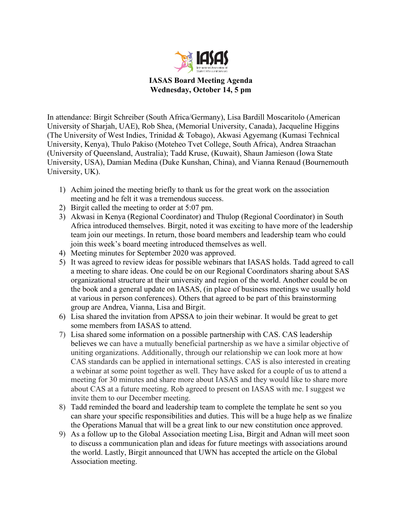

**IASAS Board Meeting Agenda Wednesday, October 14, 5 pm**

In attendance: Birgit Schreiber (South Africa/Germany), Lisa Bardill Moscaritolo (American University of Sharjah, UAE), Rob Shea, (Memorial University, Canada), Jacqueline Higgins (The University of West Indies, Trinidad & Tobago), Akwasi Agyemang (Kumasi Technical University, Kenya), Thulo Pakiso (Moteheo Tvet College, South Africa), Andrea Straachan (University of Queensland, Australia); Tadd Kruse, (Kuwait), Shaun Jamieson (Iowa State University, USA), Damian Medina (Duke Kunshan, China), and Vianna Renaud (Bournemouth University, UK).

- 1) Achim joined the meeting briefly to thank us for the great work on the association meeting and he felt it was a tremendous success.
- 2) Birgit called the meeting to order at 5:07 pm.
- 3) Akwasi in Kenya (Regional Coordinator) and Thulop (Regional Coordinator) in South Africa introduced themselves. Birgit, noted it was exciting to have more of the leadership team join our meetings. In return, those board members and leadership team who could join this week's board meeting introduced themselves as well.
- 4) Meeting minutes for September 2020 was approved.
- 5) It was agreed to review ideas for possible webinars that IASAS holds. Tadd agreed to call a meeting to share ideas. One could be on our Regional Coordinators sharing about SAS organizational structure at their university and region of the world. Another could be on the book and a general update on IASAS, (in place of business meetings we usually hold at various in person conferences). Others that agreed to be part of this brainstorming group are Andrea, Vianna, Lisa and Birgit.
- 6) Lisa shared the invitation from APSSA to join their webinar. It would be great to get some members from IASAS to attend.
- 7) Lisa shared some information on a possible partnership with CAS. CAS leadership believes we can have a mutually beneficial partnership as we have a similar objective of uniting organizations. Additionally, through our relationship we can look more at how CAS standards can be applied in international settings. CAS is also interested in creating a webinar at some point together as well. They have asked for a couple of us to attend a meeting for 30 minutes and share more about IASAS and they would like to share more about CAS at a future meeting. Rob agreed to present on IASAS with me. I suggest we invite them to our December meeting.
- 8) Tadd reminded the board and leadership team to complete the template he sent so you can share your specific responsibilities and duties. This will be a huge help as we finalize the Operations Manual that will be a great link to our new constitution once approved.
- 9) As a follow up to the Global Association meeting Lisa, Birgit and Adnan will meet soon to discuss a communication plan and ideas for future meetings with associations around the world. Lastly, Birgit announced that UWN has accepted the article on the Global Association meeting.